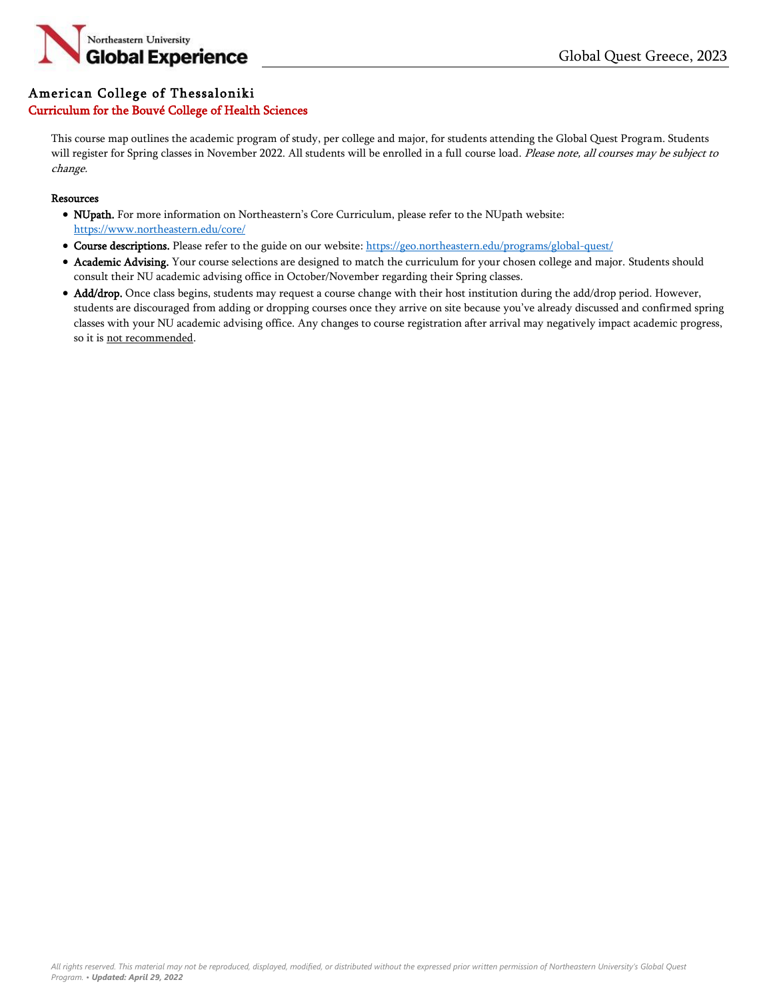

### American College of Thessaloniki

### Curriculum for the Bouvé College of Health Sciences

This course map outlines the academic program of study, per college and major, for students attending the Global Quest Program. Students will register for Spring classes in November 2022. All students will be enrolled in a full course load. Please note, all courses may be subject to change.

#### **Resources**

- NUpath. For more information on Northeastern's Core Curriculum, please refer to the NUpath website: <https://www.northeastern.edu/core/>
- Course descriptions. Please refer to the guide on our website: <https://geo.northeastern.edu/programs/global-quest/>
- Academic Advising. Your course selections are designed to match the curriculum for your chosen college and major. Students should consult their NU academic advising office in October/November regarding their Spring classes.
- Add/drop. Once class begins, students may request a course change with their host institution during the add/drop period. However, students are discouraged from adding or dropping courses once they arrive on site because you've already discussed and confirmed spring classes with your NU academic advising office. Any changes to course registration after arrival may negatively impact academic progress, so it is not recommended.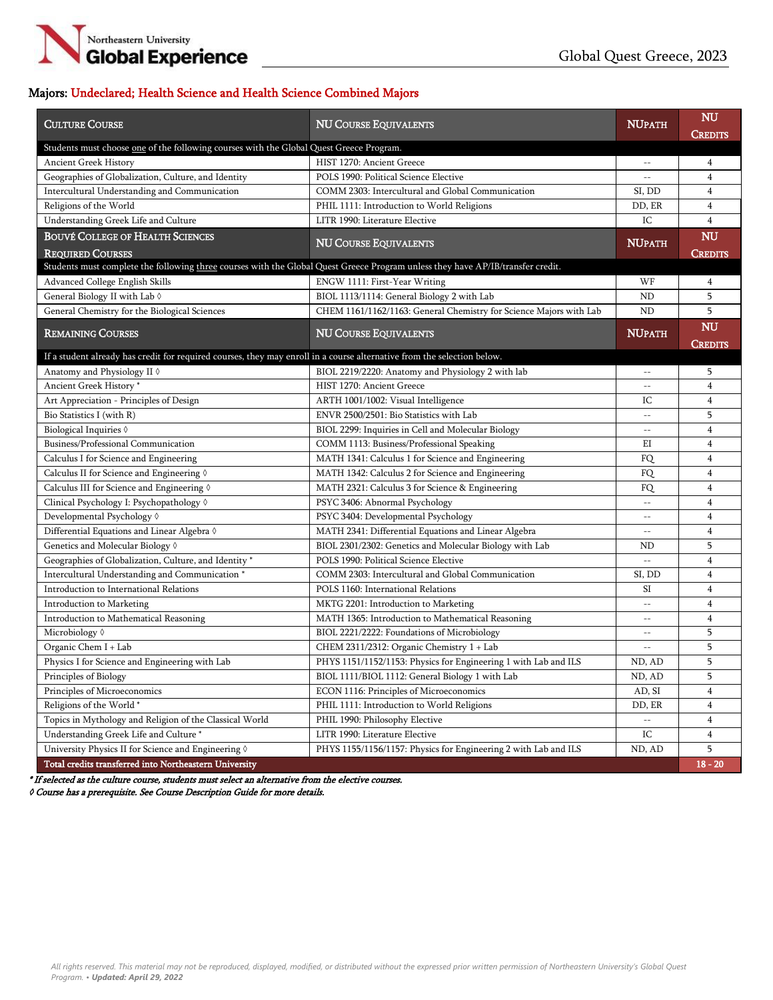

# Majors: Undeclared; Health Science and Health Science Combined Majors

| <b>CULTURE COURSE</b>                                                                                                           | <b>NU COURSE EQUIVALENTS</b>                                        | <b>NUPATH</b>            | NU<br><b>CREDITS</b> |
|---------------------------------------------------------------------------------------------------------------------------------|---------------------------------------------------------------------|--------------------------|----------------------|
| Students must choose <u>one</u> of the following courses with the Global Quest Greece Program.                                  |                                                                     |                          |                      |
| <b>Ancient Greek History</b>                                                                                                    | HIST 1270: Ancient Greece                                           | $\qquad \qquad -$        | 4                    |
| Geographies of Globalization, Culture, and Identity                                                                             | POLS 1990: Political Science Elective                               | Ξ.                       | 4                    |
| Intercultural Understanding and Communication                                                                                   | COMM 2303: Intercultural and Global Communication                   | SI, DD                   | 4                    |
| Religions of the World                                                                                                          | PHIL 1111: Introduction to World Religions                          | DD, ER                   | 4                    |
| Understanding Greek Life and Culture                                                                                            | LITR 1990: Literature Elective                                      | IC                       | 4                    |
| <b>BOUVÉ COLLEGE OF HEALTH SCIENCES</b>                                                                                         |                                                                     | <b>NUPATH</b>            | <b>NU</b>            |
| <b>REQUIRED COURSES</b>                                                                                                         | <b>NU COURSE EQUIVALENTS</b>                                        |                          | <b>CREDITS</b>       |
| Students must complete the following three courses with the Global Quest Greece Program unless they have AP/IB/transfer credit. |                                                                     |                          |                      |
| Advanced College English Skills                                                                                                 | ENGW 1111: First-Year Writing                                       | WF                       | 4                    |
| General Biology II with Lab 0                                                                                                   | BIOL 1113/1114: General Biology 2 with Lab                          | <b>ND</b>                | 5                    |
| General Chemistry for the Biological Sciences                                                                                   | CHEM 1161/1162/1163: General Chemistry for Science Majors with Lab  | <b>ND</b>                | 5                    |
| <b>REMAINING COURSES</b>                                                                                                        | <b>NU COURSE EQUIVALENTS</b>                                        | <b>NUPATH</b>            | NU<br><b>CREDITS</b> |
| If a student already has credit for required courses, they may enroll in a course alternative from the selection below.         |                                                                     |                          |                      |
| Anatomy and Physiology II 0                                                                                                     | BIOL 2219/2220: Anatomy and Physiology 2 with lab                   | $\qquad \qquad -$        | 5                    |
| Ancient Greek History*                                                                                                          | HIST 1270: Ancient Greece                                           | $- -$                    | 4                    |
| Art Appreciation - Principles of Design                                                                                         | ARTH 1001/1002: Visual Intelligence                                 | IC                       | 4                    |
| Bio Statistics I (with R)                                                                                                       | ENVR 2500/2501: Bio Statistics with Lab                             | $-$                      | 5                    |
| Biological Inquiries 0                                                                                                          | BIOL 2299: Inquiries in Cell and Molecular Biology                  | $-$                      | 4                    |
| Business/Professional Communication                                                                                             | COMM 1113: Business/Professional Speaking                           | ΕI                       | 4                    |
| Calculus I for Science and Engineering                                                                                          | MATH 1341: Calculus 1 for Science and Engineering                   | FQ                       | 4                    |
| Calculus II for Science and Engineering 0                                                                                       | MATH 1342: Calculus 2 for Science and Engineering                   | FQ                       | 4                    |
| Calculus III for Science and Engineering 0                                                                                      | MATH 2321: Calculus 3 for Science & Engineering                     | FQ                       | 4                    |
| Clinical Psychology I: Psychopathology 0                                                                                        | PSYC 3406: Abnormal Psychology                                      | $- -$                    | 4                    |
| Developmental Psychology 0                                                                                                      | PSYC 3404: Developmental Psychology                                 | $-\,-$                   | 4                    |
| Differential Equations and Linear Algebra $\Diamond$                                                                            | MATH 2341: Differential Equations and Linear Algebra                | $-\,-$                   | 4                    |
| Genetics and Molecular Biology 0                                                                                                | BIOL 2301/2302: Genetics and Molecular Biology with Lab             | ND                       | 5                    |
| Geographies of Globalization, Culture, and Identity *                                                                           | POLS 1990: Political Science Elective                               | $-$                      | 4                    |
| Intercultural Understanding and Communication <sup>*</sup>                                                                      | COMM 2303: Intercultural and Global Communication                   | SI, DD                   | 4                    |
| Introduction to International Relations                                                                                         | POLS 1160: International Relations                                  | SI                       | 4                    |
| Introduction to Marketing                                                                                                       | MKTG 2201: Introduction to Marketing                                | $-\,-$                   | 4                    |
| Introduction to Mathematical Reasoning                                                                                          | MATH 1365: Introduction to Mathematical Reasoning                   | $-$                      | 4                    |
| Microbiology 0                                                                                                                  | BIOL 2221/2222: Foundations of Microbiology                         | $-\,-$                   | 5                    |
| Organic Chem I + Lab                                                                                                            | CHEM 2311/2312: Organic Chemistry 1 + Lab                           | $-$                      | 5                    |
| Physics I for Science and Engineering with Lab                                                                                  | PHYS 1151/1152/1153: Physics for Engineering 1 with Lab and ILS     | ND, AD                   | 5                    |
| Principles of Biology                                                                                                           | $\overline{\text{BIOL}}$ 1111/BIOL 1112: General Biology 1 with Lab | ND, AD                   | 5                    |
| Principles of Microeconomics                                                                                                    | ECON 1116: Principles of Microeconomics                             | AD, SI                   | 4                    |
| Religions of the World*                                                                                                         | PHIL 1111: Introduction to World Religions                          | DD, ER                   | 4                    |
| Topics in Mythology and Religion of the Classical World                                                                         | PHIL 1990: Philosophy Elective                                      | $\overline{\phantom{a}}$ | 4                    |
| Understanding Greek Life and Culture *                                                                                          | LITR 1990: Literature Elective                                      | IC                       | 4                    |
| University Physics II for Science and Engineering 0                                                                             | PHYS 1155/1156/1157: Physics for Engineering 2 with Lab and ILS     | ND, AD                   | 5                    |
| Total credits transferred into Northeastern University                                                                          |                                                                     |                          | $18 - 20$            |

\* If selected as the culture course, students must select an alternative from the elective courses.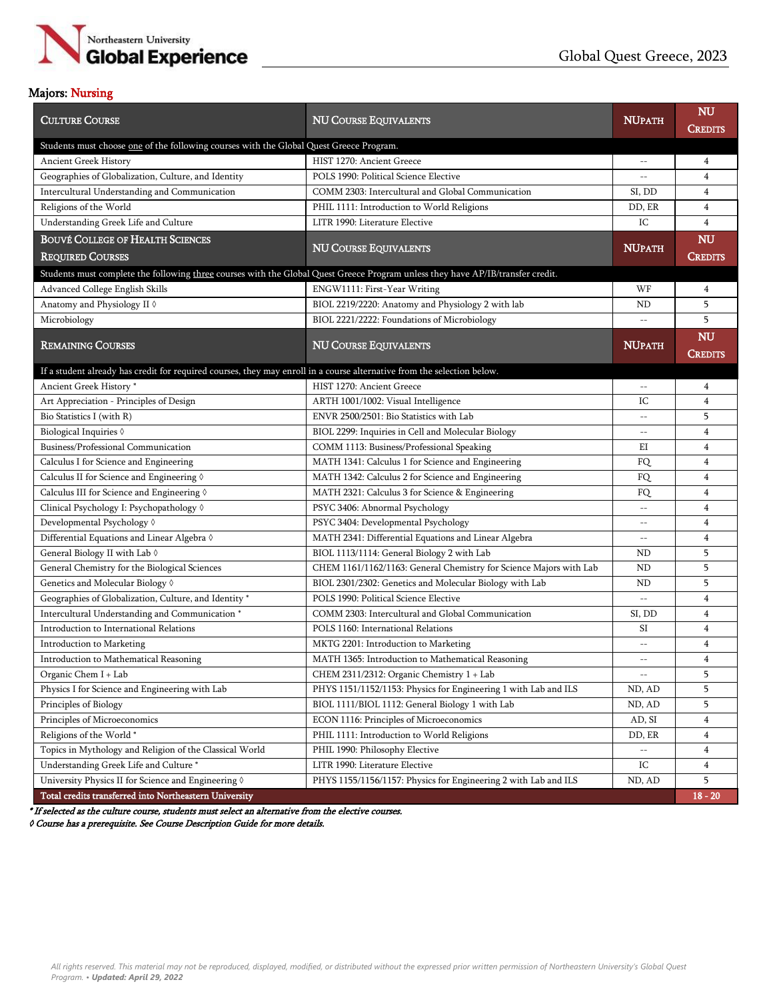

#### Majors: Nursing

| <b>CULTURE COURSE</b>                                                                                                           | <b>NU COURSE EQUIVALENTS</b>                                       | <b>NUPATH</b>            | <b>NU</b><br>Credits |
|---------------------------------------------------------------------------------------------------------------------------------|--------------------------------------------------------------------|--------------------------|----------------------|
| Students must choose one of the following courses with the Global Quest Greece Program.                                         |                                                                    |                          |                      |
| Ancient Greek History                                                                                                           | HIST 1270: Ancient Greece                                          | $-\,-$                   | $\overline{4}$       |
| Geographies of Globalization, Culture, and Identity                                                                             | POLS 1990: Political Science Elective                              | $\overline{\phantom{a}}$ | $\overline{4}$       |
| Intercultural Understanding and Communication                                                                                   | COMM 2303: Intercultural and Global Communication                  | SI, DD                   | $\overline{4}$       |
| Religions of the World                                                                                                          | PHIL 1111: Introduction to World Religions                         | DD, ER                   | $\overline{4}$       |
| Understanding Greek Life and Culture                                                                                            | LITR 1990: Literature Elective                                     | IC                       | $\overline{4}$       |
| <b>BOUVÉ COLLEGE OF HEALTH SCIENCES</b>                                                                                         |                                                                    |                          | <b>NU</b>            |
| <b>REQUIRED COURSES</b>                                                                                                         | <b>NU COURSE EQUIVALENTS</b>                                       | <b>NUPATH</b>            | <b>CREDITS</b>       |
| Students must complete the following three courses with the Global Quest Greece Program unless they have AP/IB/transfer credit. |                                                                    |                          |                      |
| Advanced College English Skills                                                                                                 | ENGW1111: First-Year Writing                                       | WF                       | $\overline{4}$       |
| Anatomy and Physiology II 0                                                                                                     | BIOL 2219/2220: Anatomy and Physiology 2 with lab                  | ND                       | 5                    |
| Microbiology                                                                                                                    | BIOL 2221/2222: Foundations of Microbiology                        | $-\,-$                   | 5                    |
|                                                                                                                                 |                                                                    |                          | <b>NU</b>            |
| <b>REMAINING COURSES</b>                                                                                                        | <b>NU COURSE EQUIVALENTS</b>                                       | <b>NUPATH</b>            | <b>CREDITS</b>       |
| If a student already has credit for required courses, they may enroll in a course alternative from the selection below.         |                                                                    |                          |                      |
| Ancient Greek History*                                                                                                          | HIST 1270: Ancient Greece                                          | $-\,-$                   | $\overline{4}$       |
| Art Appreciation - Principles of Design                                                                                         | ARTH 1001/1002: Visual Intelligence                                | IC                       | $\overline{4}$       |
| Bio Statistics I (with R)                                                                                                       | ENVR 2500/2501: Bio Statistics with Lab                            | $\equiv$ $\equiv$        | 5                    |
| Biological Inquiries 0                                                                                                          | BIOL 2299: Inquiries in Cell and Molecular Biology                 | $-\,-$                   | $\overline{4}$       |
| Business/Professional Communication                                                                                             | COMM 1113: Business/Professional Speaking                          | EI                       | $\overline{4}$       |
| Calculus I for Science and Engineering                                                                                          | MATH 1341: Calculus 1 for Science and Engineering                  | FQ                       | $\overline{4}$       |
| Calculus II for Science and Engineering 0                                                                                       | MATH 1342: Calculus 2 for Science and Engineering                  | FQ                       | $\overline{4}$       |
| Calculus III for Science and Engineering $\Diamond$                                                                             | MATH 2321: Calculus 3 for Science & Engineering                    | FQ                       | $\overline{4}$       |
| Clinical Psychology I: Psychopathology 0                                                                                        | PSYC 3406: Abnormal Psychology                                     | $\overline{\phantom{a}}$ | $\overline{4}$       |
| Developmental Psychology 0                                                                                                      | PSYC 3404: Developmental Psychology                                | $-\,-$                   | $\overline{4}$       |
| Differential Equations and Linear Algebra $\Diamond$                                                                            | MATH 2341: Differential Equations and Linear Algebra               | $-\,-$                   | $\overline{4}$       |
| General Biology II with Lab $\Diamond$                                                                                          | BIOL 1113/1114: General Biology 2 with Lab                         | ND                       | 5                    |
| General Chemistry for the Biological Sciences                                                                                   | CHEM 1161/1162/1163: General Chemistry for Science Majors with Lab | ND                       | 5                    |
| Genetics and Molecular Biology 0                                                                                                | BIOL 2301/2302: Genetics and Molecular Biology with Lab            | ND                       | 5                    |
| Geographies of Globalization, Culture, and Identity *                                                                           | POLS 1990: Political Science Elective                              | $- -$                    | $\overline{4}$       |
| Intercultural Understanding and Communication <sup>*</sup>                                                                      | COMM 2303: Intercultural and Global Communication                  | SI, DD                   | $\overline{4}$       |
| Introduction to International Relations                                                                                         | POLS 1160: International Relations                                 | SI                       | $\overline{4}$       |
| Introduction to Marketing                                                                                                       | MKTG 2201: Introduction to Marketing                               | $-\,-$                   | $\overline{4}$       |
| Introduction to Mathematical Reasoning                                                                                          | MATH 1365: Introduction to Mathematical Reasoning                  | $-\,-$                   | $\overline{4}$       |
| Organic Chem I + Lab                                                                                                            | CHEM 2311/2312: Organic Chemistry 1 + Lab                          | $- -$                    | 5                    |
| Physics I for Science and Engineering with Lab                                                                                  | PHYS 1151/1152/1153: Physics for Engineering 1 with Lab and ILS    | ND, AD                   | 5                    |
| Principles of Biology                                                                                                           | BIOL 1111/BIOL 1112: General Biology 1 with Lab                    | ND, AD                   | 5                    |
| Principles of Microeconomics                                                                                                    | ECON 1116: Principles of Microeconomics                            | AD, SI                   | $\overline{4}$       |
| Religions of the World*                                                                                                         | PHIL 1111: Introduction to World Religions                         | DD, ER                   | $\overline{4}$       |
| Topics in Mythology and Religion of the Classical World                                                                         | PHIL 1990: Philosophy Elective                                     | $-\, -$                  | $\overline{4}$       |
| Understanding Greek Life and Culture *                                                                                          | LITR 1990: Literature Elective                                     | IC                       | $\overline{4}$       |
| University Physics II for Science and Engineering $\Diamond$                                                                    | PHYS 1155/1156/1157: Physics for Engineering 2 with Lab and ILS    | ND, AD                   | 5                    |
| Total credits transferred into Northeastern University                                                                          |                                                                    |                          | $18 - 20$            |

\* If selected as the culture course, students must select an alternative from the elective courses.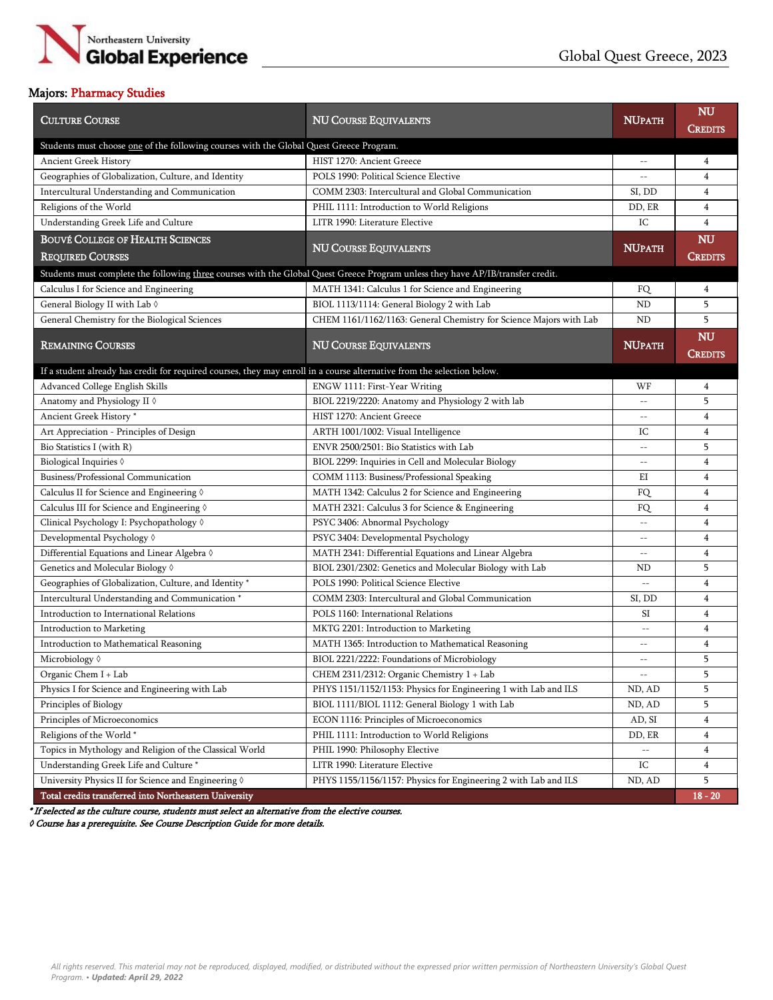

# Majors: Pharmacy Studies

| <b>CULTURE COURSE</b>                                                                                                           | <b>NU COURSE EQUIVALENTS</b>                                       | <b>NUPATH</b>                                       | <b>NU</b><br>Credits |  |  |
|---------------------------------------------------------------------------------------------------------------------------------|--------------------------------------------------------------------|-----------------------------------------------------|----------------------|--|--|
| Students must choose one of the following courses with the Global Quest Greece Program.                                         |                                                                    |                                                     |                      |  |  |
| Ancient Greek History                                                                                                           | HIST 1270: Ancient Greece                                          | $\hspace{0.05cm} -\hspace{0.05cm} -\hspace{0.05cm}$ | $\overline{4}$       |  |  |
| Geographies of Globalization, Culture, and Identity                                                                             | POLS 1990: Political Science Elective                              | $-\,-$                                              | $\overline{4}$       |  |  |
| Intercultural Understanding and Communication                                                                                   | COMM 2303: Intercultural and Global Communication                  | SI, DD                                              | $\overline{4}$       |  |  |
| Religions of the World                                                                                                          | PHIL 1111: Introduction to World Religions                         | DD, ER                                              | 4                    |  |  |
| Understanding Greek Life and Culture                                                                                            | LITR 1990: Literature Elective                                     | IC                                                  | $\overline{4}$       |  |  |
| <b>BOUVÉ COLLEGE OF HEALTH SCIENCES</b>                                                                                         |                                                                    | <b>NUPATH</b>                                       | <b>NU</b>            |  |  |
| <b>REQUIRED COURSES</b>                                                                                                         | <b>NU COURSE EQUIVALENTS</b>                                       |                                                     | <b>CREDITS</b>       |  |  |
| Students must complete the following three courses with the Global Quest Greece Program unless they have AP/IB/transfer credit. |                                                                    |                                                     |                      |  |  |
| Calculus I for Science and Engineering                                                                                          | MATH 1341: Calculus 1 for Science and Engineering                  | FQ                                                  | 4                    |  |  |
| General Biology II with Lab 0                                                                                                   | BIOL 1113/1114: General Biology 2 with Lab                         | ND                                                  | 5                    |  |  |
| General Chemistry for the Biological Sciences                                                                                   | CHEM 1161/1162/1163: General Chemistry for Science Majors with Lab | ND                                                  | 5                    |  |  |
| <b>REMAINING COURSES</b>                                                                                                        |                                                                    | <b>NUPATH</b>                                       | <b>NU</b>            |  |  |
|                                                                                                                                 | <b>NU COURSE EQUIVALENTS</b>                                       |                                                     | <b>CREDITS</b>       |  |  |
| If a student already has credit for required courses, they may enroll in a course alternative from the selection below.         |                                                                    |                                                     |                      |  |  |
| Advanced College English Skills                                                                                                 | ENGW 1111: First-Year Writing                                      | WF                                                  | 4                    |  |  |
| Anatomy and Physiology II 0                                                                                                     | BIOL 2219/2220: Anatomy and Physiology 2 with lab                  |                                                     | 5                    |  |  |
| Ancient Greek History*                                                                                                          | HIST 1270: Ancient Greece                                          |                                                     | $\overline{4}$       |  |  |
| Art Appreciation - Principles of Design                                                                                         | ARTH 1001/1002: Visual Intelligence                                | IC                                                  | $\overline{4}$       |  |  |
| Bio Statistics I (with R)                                                                                                       | ENVR 2500/2501: Bio Statistics with Lab                            | $-$                                                 | 5                    |  |  |
| Biological Inquiries 0                                                                                                          | BIOL 2299: Inquiries in Cell and Molecular Biology                 | $\sim$                                              | $\overline{4}$       |  |  |
| Business/Professional Communication                                                                                             | COMM 1113: Business/Professional Speaking                          | EI                                                  | $\overline{4}$       |  |  |
| Calculus II for Science and Engineering $\Diamond$                                                                              | MATH 1342: Calculus 2 for Science and Engineering                  | FQ                                                  | $\overline{4}$       |  |  |
| Calculus III for Science and Engineering 0                                                                                      | MATH 2321: Calculus 3 for Science & Engineering                    | FQ                                                  | $\overline{4}$       |  |  |
| Clinical Psychology I: Psychopathology 0                                                                                        | PSYC 3406: Abnormal Psychology                                     | $-\,-$                                              | $\overline{4}$       |  |  |
| Developmental Psychology 0                                                                                                      | PSYC 3404: Developmental Psychology                                |                                                     | $\overline{4}$       |  |  |
| Differential Equations and Linear Algebra $\Diamond$                                                                            | MATH 2341: Differential Equations and Linear Algebra               |                                                     | $\overline{4}$       |  |  |
| Genetics and Molecular Biology 0                                                                                                | BIOL 2301/2302: Genetics and Molecular Biology with Lab            | ND                                                  | 5                    |  |  |
| Geographies of Globalization, Culture, and Identity *                                                                           | POLS 1990: Political Science Elective                              |                                                     | $\overline{4}$       |  |  |
| Intercultural Understanding and Communication <sup>*</sup>                                                                      | COMM 2303: Intercultural and Global Communication                  | SI, DD                                              | $\overline{4}$       |  |  |
| Introduction to International Relations                                                                                         | POLS 1160: International Relations                                 | SI                                                  | $\overline{4}$       |  |  |
| Introduction to Marketing                                                                                                       | MKTG 2201: Introduction to Marketing                               | $-$                                                 | $\overline{4}$       |  |  |
| Introduction to Mathematical Reasoning                                                                                          | MATH 1365: Introduction to Mathematical Reasoning                  |                                                     | $\overline{4}$       |  |  |
| Microbiology $\Diamond$                                                                                                         | BIOL 2221/2222: Foundations of Microbiology                        | $\sim$ $\sim$                                       | 5                    |  |  |
| Organic Chem I + Lab                                                                                                            | CHEM 2311/2312: Organic Chemistry 1 + Lab                          | $-\,-$                                              | 5                    |  |  |
| Physics I for Science and Engineering with Lab                                                                                  | PHYS 1151/1152/1153: Physics for Engineering 1 with Lab and ILS    | ND, AD                                              | 5                    |  |  |
| Principles of Biology                                                                                                           | BIOL 1111/BIOL 1112: General Biology 1 with Lab                    | ND, AD                                              | 5                    |  |  |
| Principles of Microeconomics                                                                                                    | ECON 1116: Principles of Microeconomics                            | AD, SI                                              | $\overline{4}$       |  |  |
| Religions of the World*                                                                                                         | PHIL 1111: Introduction to World Religions                         | DD, ER                                              | 4                    |  |  |
| Topics in Mythology and Religion of the Classical World                                                                         | PHIL 1990: Philosophy Elective                                     | $-\,-$                                              | 4                    |  |  |
| Understanding Greek Life and Culture *                                                                                          | LITR 1990: Literature Elective                                     | IC                                                  | $\overline{4}$       |  |  |
| University Physics II for Science and Engineering $\Diamond$                                                                    | PHYS 1155/1156/1157: Physics for Engineering 2 with Lab and ILS    | ND, AD                                              | 5                    |  |  |
| Total credits transferred into Northeastern University                                                                          |                                                                    |                                                     | $18 - 20$            |  |  |

\* If selected as the culture course, students must select an alternative from the elective courses.